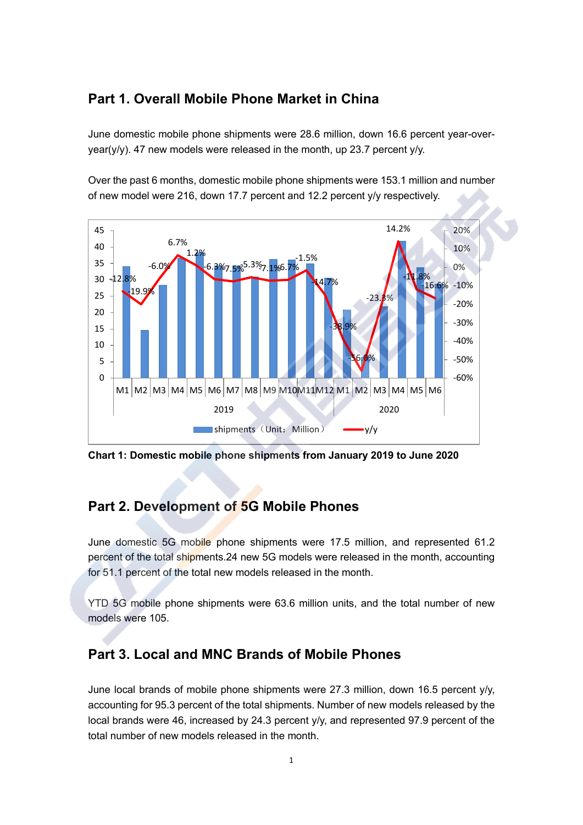## **Part 1. Overall Mobile Phone Market in China**

June domestic mobile phone shipments were 28.6 million, down 16.6 percent year-overyear(y/y). 47 new models were released in the month, up 23.7 percent y/y.

Over the past 6 months, domestic mobile phone shipments were 153.1 million and number of new model were 216, down 17.7 percent and 12.2 percent y/y respectively.



**Chart 1: Domestic mobile phone shipments from January 2019 to June 2020**

## **Part 2. Development of 5G Mobile Phones**

June domestic 5G mobile phone shipments were 17.5 million, and represented 61.2 percent of the total shipments.24 new 5G models were released in the month, accounting for 51.1 percent of the total new models released in the month.

YTD 5G mobile phone shipments were 63.6 million units, and the total number of new models were 105.

## **Part 3. Local and MNC Brands of Mobile Phones**

June local brands of mobile phone shipments were 27.3 million, down 16.5 percent y/y, accounting for 95.3 percent of the total shipments. Number of new models released by the local brands were 46, increased by 24.3 percent y/y, and represented 97.9 percent of the total number of new models released in the month.